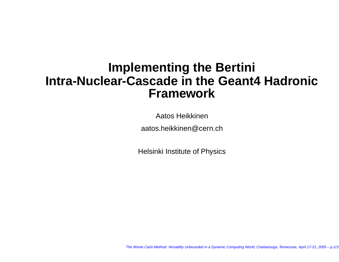# **Implementing the Bertini Intra-Nuclear-Cascade in the Geant4 Hadronic Framework**

Aatos Heikkinen

aatos.heikkinen@cern.ch

Helsinki Institute of Physics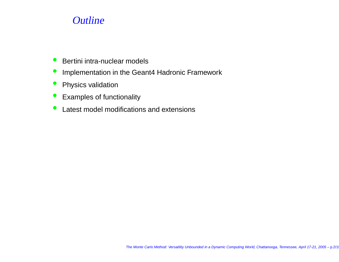## **Outline**

- $\bullet$ **Bertini intra-nuclear models**
- $\bullet$ Implementation in the Geant4 Hadronic Framework
- $\bullet$ Physics validation
- Examples of functionality
- $\bullet$ • Latest model modifications and extensions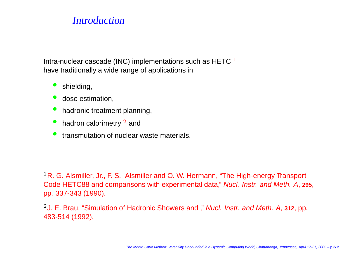#### **Introduction**

Intra-nuclear cascade (INC) implementations such as HETC  $^{\rm 1}$ have traditionally <sup>a</sup> wide range of applications in

- •shielding,
- $\bullet$ **dose estimation,**
- •**•** hadronic treatment planning,
- •• hadron calorimetry  $2$  and
- $\bullet$ **•** transmutation of nuclear waste materials.

 $^1$ R. G. Alsmiller, Jr., F. S. Alsmiller and O. W. Hermann, "The High-energy Transport Code HETC88 and comparisons with experimental data," Nucl. Instr. and Meth. A, **<sup>295</sup>**, pp. 337-343 (1990).

<sup>2</sup>J. E. Brau, "Simulation of Hadronic Showers and ," Nucl. Instr. and Meth. <sup>A</sup>, **<sup>312</sup>**, pp. 483-514 (1992).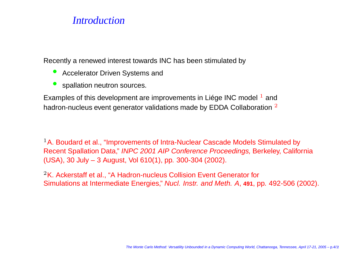#### **Introduction**

Recently <sup>a</sup> renewed interest towards INC has been stimulated by

- •**• Accelerator Driven Systems and**
- •spallation neutron sources.

Examples of this development are improvements in Liége INC model  $<sup>1</sup>$  and</sup> hadron-nucleus event generator validations made by EDDA Collaboration  $^{\,2}$ 

 $^1$ A. Boudard et al., "Improvements of Intra-Nuclear Cascade Models Stimulated by Recent Spallation Data," *INPC 2001 AIP Conference Proceedings,* Berkeley, California (USA), 30 July – 3 August, Vol 610(1), pp. 300-304 (2002).

 $^2$ K. Ackerstaff et al., "A Hadron-nucleus Collision Event Generator for Simulations at Intermediate Energies," Nucl. Instr. and Meth. A, **<sup>491</sup>**, pp. 492-506 (2002).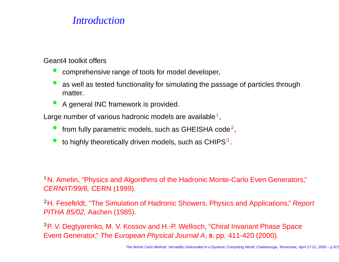#### **Introduction**

Geant4 toolkit offers

- •comprehensive range of tools for model developer,
- •• as well as tested functionality for simulating the passage of particles through matter.
- •**A** general INC framework is provided.

Large number of various hadronic models are available  $1$ ,

- from fully parametric models, such as GHEISHA code<sup>2</sup>,
- • $\bullet$  to highly theoretically driven models, such as CHIPS<sup>3</sup>.

 $^1$ N. Amelin, "Physics and Algorithms of the Hadronic Monte-Carlo Even Generators," CERN/IT/99/6, CERN (1999).

 $^2$ H. Fesefeldt, "The Simulation of Hadronic Showers, Physics and Applications," *Report* PITHA 85/02, Aachen (1985).

 $^3$ P. V. Degtyarenko, M. V. Kossov and H.-P. Wellisch, "Chiral Invariant Phase Space Event Generator," The European Physical Journal A, **<sup>9</sup>**, pp. 411-420 (2000).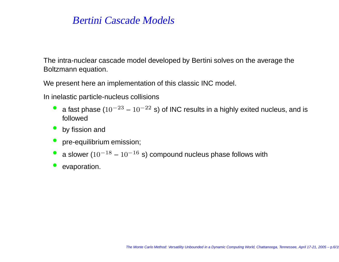The intra-nuclear cascade model developed by Bertini solves on the average the Boltzmann equation.

We present here an implementation of this classic INC model.

In inelastic particle-nucleus collisions

- •• a fast phase ( $10^{-23}$  –  $10^{-22}$  s) of INC results in a highly exited nucleus, and is followed
- •by fission and
- •pre-equilibrium emission;
- •• a slower ( $10^{-18}$  –  $10^{-16}$  s) compound nucleus phase follows with
- •evaporation.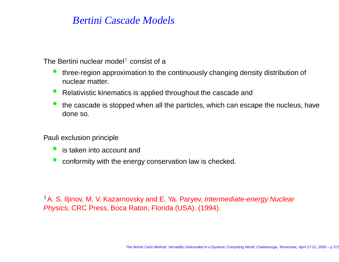The Bertini nuclear model<sup>1</sup> consist of a

- • three-region approximation to the continuously changing density distribution of nuclear matter.
- Relativistic kinematics is applied throughout the cascade and
- •• the cascade is stopped when all the particles, which can escape the nucleus, have done so.

Pauli exclusion principle

- •**C** is taken into account and
- $\bullet$ conformity with the energy conservation law is checked.

 $^1$ A. S. Iljinov, M. V. Kazarnovsky and E. Ya. Paryev, *Intermediate-energy Nuclear* Physics, CRC Press, Boca Raton, Florida (USA). (1994).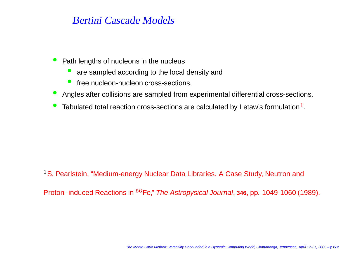- •• Path lengths of nucleons in the nucleus
	- •• are sampled according to the local density and
	- •**free nucleon-nucleon cross-sections.**
- Angles after collisions are sampled from experimental differential cross-sections.
- •• Tabulated total reaction cross-sections are calculated by Letaw's formulation<sup>1</sup>.

<sup>1</sup>S. Pearlstein, "Medium-energy Nuclear Data Libraries. A Case Study, Neutron and

Proton -induced Reactions in <sup>56</sup>Fe," The Astropysical Journal, **<sup>346</sup>**, pp. 1049-1060 (1989).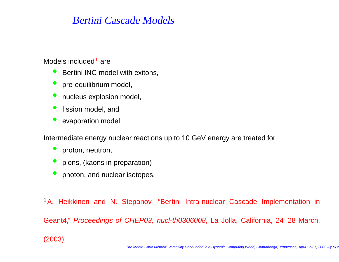Models included $^{\rm 1}$  are

- **Bertini INC model with exitons,**
- pre-equilibrium model,
- •**C** nucleus explosion model,
- •**•** fission model, and
- •evaporation model.

Intermediate energy nuclear reactions up to 10 GeV energy are treated for

- •proton, neutron,
- pions, (kaons in preparation)
- $\bullet$ photon, and nuclear isotopes.

 $^1$ A. Heikkinen and N. Stepanov, "Bertini Intra-nuclear Cascade Implementation in Geant4," Proceedings of CHEP03, nucl-th0306008, La Jolla, California, 24–28 March, (2003).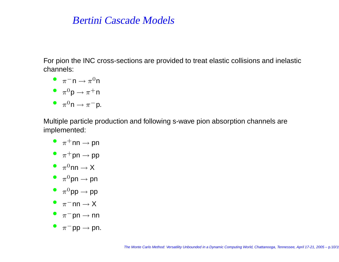For pion the INC cross-sections are provided to treat elastic collisions and inelastic channels:

- $\bullet$   $\pi^-$ n  $\to \pi^0$ n
- $\overline{\phantom{a}}^{\phantom{0}}$   $\pi^0$ p  $\rightarrow$   $\pi^+$ n
- $\bullet$   $\pi^0$ n  $\rightarrow \pi^-$ p.

Multiple particle production and following s-wave pion absorption channels are implemented:

- $\bullet~~ \pi^+$ nn  $\rightarrow$  pn
- $\pi^+$ pn  $\rightarrow$  pp
- $\pi^0$ nn  $\to X$
- $\overline{\phantom{a}}^{\phantom{0}}$   $\pi^0$ pn  $\rightarrow$  pn
- $\bullet~~ \pi^0$ pp  $\rightarrow$  pp
- $\pi$ <sup>-</sup>nn  $\rightarrow$  X
- $\overline{\phantom{a}}$   $\pi^-$ pn  $\rightarrow$  nn
- $\pi^-$ pp  $\rightarrow$  pn.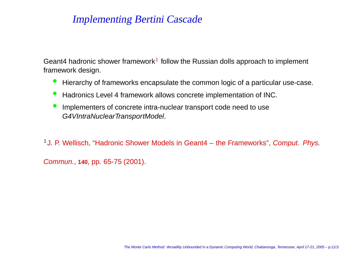Geant4 hadronic shower framework $^1$  follow the Russian dolls approach to implement framework design.

- $\bullet$ Hierarchy of frameworks encapsulate the common logic of <sup>a</sup> particular use-case.
- $\bullet$ **• Hadronics Level 4 framework allows concrete implementation of INC.**
- $\bullet$  Implementers of concrete intra-nuclear transport code need to use G4VIntraNuclearTransportModel.

<sup>1</sup> J. P. Wellisch, "Hadronic Shower Models in Geant4 – the Frameworks", Comput. Phys.

Commun., **<sup>140</sup>**, pp. 65-75 (2001).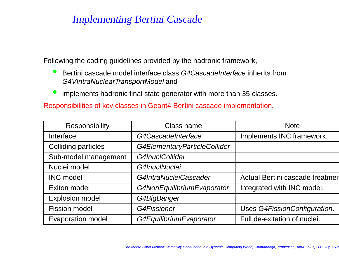Following the coding guidelines provided by the hadronic framework,

- $\bullet$ **Bertini cascade model interface class G4CascadeInterface inherits from** G4VIntraNuclearTransportModel and
- •implements hadronic final state generator with more than 35 classes.

Responsibilities of key classes in Geant4 Bertini cascade implementation.

| <b>Responsibility</b>      | Class name                   | <b>Note</b>                     |
|----------------------------|------------------------------|---------------------------------|
| Interface                  | G4CascadeInterface           | Implements INC framework.       |
| <b>Colliding particles</b> | G4ElementaryParticleCollider |                                 |
| Sub-model management       | G4InuclCollider              |                                 |
| Nuclei model               | G4InuclNuclei                |                                 |
| <b>INC model</b>           | G4IntraNucleiCascader        | Actual Bertini cascade treatmen |
| Exiton model               | G4NonEquilibriumEvaporator   | Integrated with INC model.      |
| <b>Explosion model</b>     | G4BigBanger                  |                                 |
| <b>Fission model</b>       | <b>G4Fissioner</b>           | Uses G4FissionConfiguration.    |
| <b>Evaporation model</b>   | G4EquilibriumEvaporator      | Full de-exitation of nuclei.    |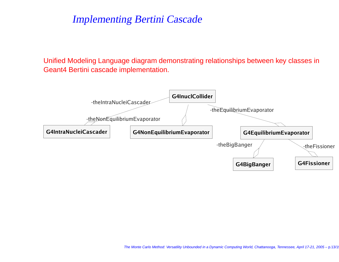Unified Modeling Language diagram demonstrating relationships between key classes in Geant4 Bertini cascade implementation.

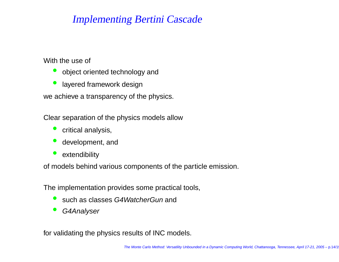With the use of

- •object oriented technology and
- •layered framework design

we achieve <sup>a</sup> transparency of the physics.

Clear separation of the physics models allow

- •critical analysis,
- •development, and
- •extendibility

of models behind various components of the particle emission.

The implementation provides some practical tools,

- •**Such as classes G4WatcherGun and**
- •G4Analyser

for validating the physics results of INC models.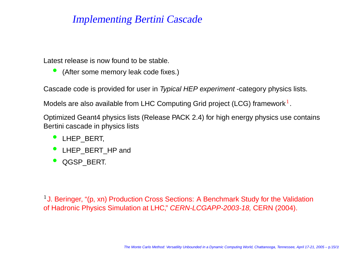Latest release is now found to be stable.

•(After some memory leak code fixes.)

Cascade code is provided for user in *Typical HEP experiment* -category physics lists.

Models are also available from LHC Computing Grid project (LCG) framework $^1$ .

Optimized Geant4 physics lists (Release PACK 2.4) for high energy physics use contains Bertini cascade in physics lists

- LHEP\_BERT,
- LHEP\_BERT\_HP and
- •QGSP\_BERT.

<sup>1</sup> J. Beringer, "(p, xn) Production Cross Sections: A Benchmark Study for the Validation of Hadronic Physics Simulation at LHC," *CERN-LCGAPP-2003-18,* CERN (2004).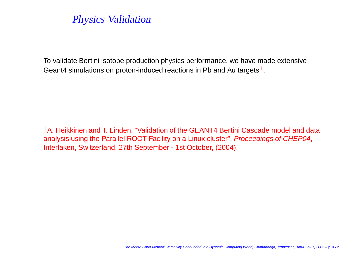# Physics Validation

To validate Bertini isotope production physics performance, we have made extensive Geant4 simulations on proton-induced reactions in Pb and Au targets $^1$ .

 $^1$ A. Heikkinen and T. Linden, "Validation of the GEANT4 Bertini Cascade model and data analysis using the Parallel ROOT Facility on <sup>a</sup> Linux cluster", Proceedings of CHEP04, Interlaken, Switzerland, 27th September - 1st October, (2004).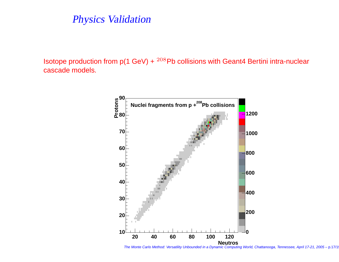#### Physics Validation

Isotope production from  $p(1 \text{ GeV}) + \frac{208}{P}$ b collisions with Geant4 Bertini intra-nuclear cascade models.



The Monte Carlo Method: Versatility Unbounded in <sup>a</sup> Dynamic Computing World, Chattanooga, Tennessee, April 17-21, 2005 – p.17/19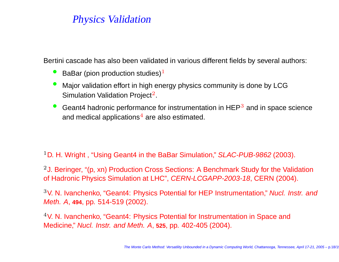# Physics Validation

Bertini cascade has also been validated in various different fields by several authors:

- •**•** BaBar (pion production studies) $<sup>1</sup>$ </sup>
- • Major validation effort in high energy physics community is done by LCG Simulation Validation Project $^2$ .
- $\bullet$ Geant4 hadronic performance for instrumentation in  $HEP<sup>3</sup>$  and in space science and medical applications $^4$  are also estimated.

 $^1$ D. H. Wright , "Using Geant4 in the BaBar Simulation," *SLAC-PUB-9862* (2003).

<sup>2</sup> J. Beringer, "(p, xn) Production Cross Sections: A Benchmark Study for the Validation of Hadronic Physics Simulation at LHC", *CERN-LCGAPP-2003-18*, CERN (2004).

<sup>3</sup>V. N. Ivanchenko, "Geant4: Physics Potential for HEP Instrumentation," Nucl. Instr. and Meth. A, **<sup>494</sup>**, pp. 514-519 (2002).

 $^4$ V. N. Ivanchenko, "Geant4: Physics Potential for Instrumentation in Space and Medicine," Nucl. Instr. and Meth. A, **<sup>525</sup>**, pp. 402-405 (2004).